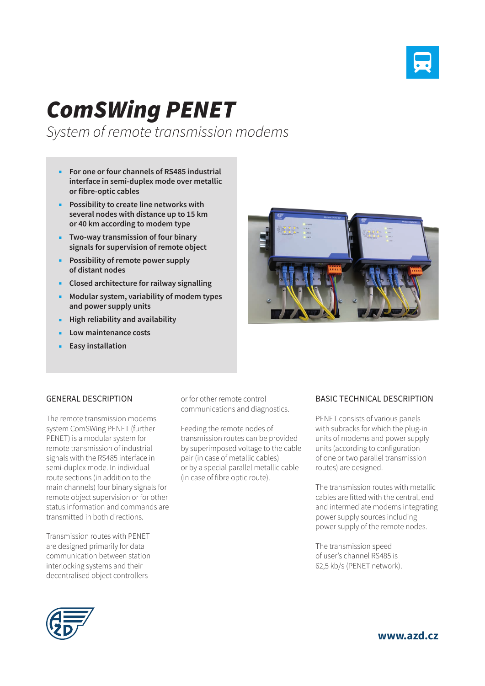

## *ComSWing PENET*

*System of remote transmission modems*

- **For one or four channels of RS485 industrial interface in semi-duplex mode over metallic or fibre-optic cables**
- **Possibility to create line networks with several nodes with distance up to 15 km or 40 km according to modem type**
- **Two-way transmission of four binary signals for supervision of remote object**
- **Possibility of remote power supply of distant nodes**
- **Closed architecture for railway signalling**
- **Modular system, variability of modem types and power supply units**
- **High reliability and availability**
- **Low maintenance costs**
- **Easy installation**



## GENERAL DESCRIPTION

The remote transmission modems system ComSWing PENET (further PENET) is a modular system for remote transmission of industrial signals with the RS485 interface in semi-duplex mode. In individual route sections (in addition to the main channels) four binary signals for remote object supervision or for other status information and commands are transmitted in both directions.

Transmission routes with PENET are designed primarily for data communication between station interlocking systems and their decentralised object controllers

or for other remote control communications and diagnostics.

Feeding the remote nodes of transmission routes can be provided by superimposed voltage to the cable pair (in case of metallic cables) or by a special parallel metallic cable (in case of fibre optic route).

## BASIC TECHNICAL DESCRIPTION

PENET consists of various panels with subracks for which the plug-in units of modems and power supply units (according to configuration of one or two parallel transmission routes) are designed.

The transmission routes with metallic cables are fitted with the central, end and intermediate modems integrating power supply sources including power supply of the remote nodes.

The transmission speed of user's channel RS485 is 62,5 kb/s (PENET network).



**www.azd.cz**